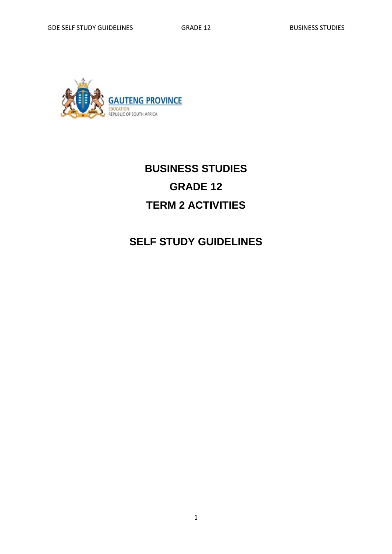

## **BUSINESS STUDIES GRADE 12 TERM 2 ACTIVITIES**

## **SELF STUDY GUIDELINES**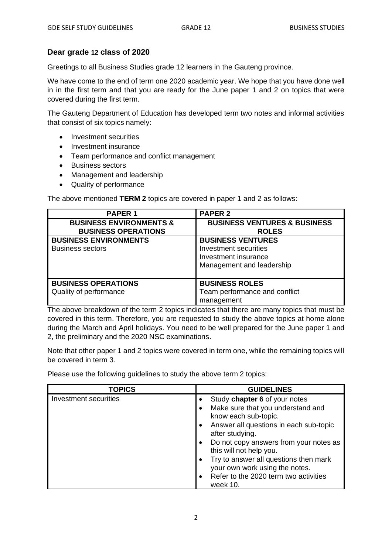## **Dear grade 12 class of 2020**

Greetings to all Business Studies grade 12 learners in the Gauteng province.

We have come to the end of term one 2020 academic year. We hope that you have done well in in the first term and that you are ready for the June paper 1 and 2 on topics that were covered during the first term.

The Gauteng Department of Education has developed term two notes and informal activities that consist of six topics namely:

- Investment securities
- Investment insurance
- Team performance and conflict management
- Business sectors
- Management and leadership
- Quality of performance

The above mentioned **TERM 2** topics are covered in paper 1 and 2 as follows:

| <b>PAPER 1</b>                     | <b>PAPER 2</b>                          |
|------------------------------------|-----------------------------------------|
| <b>BUSINESS ENVIRONMENTS &amp;</b> | <b>BUSINESS VENTURES &amp; BUSINESS</b> |
| <b>BUSINESS OPERATIONS</b>         | <b>ROLES</b>                            |
| <b>BUSINESS ENVIRONMENTS</b>       | <b>BUSINESS VENTURES</b>                |
| <b>Business sectors</b>            | Investment securities                   |
|                                    | Investment insurance                    |
|                                    | Management and leadership               |
|                                    |                                         |
| <b>BUSINESS OPERATIONS</b>         | <b>BUSINESS ROLES</b>                   |
| Quality of performance             | Team performance and conflict           |
|                                    | management                              |

The above breakdown of the term 2 topics indicates that there are many topics that must be covered in this term. Therefore, you are requested to study the above topics at home alone during the March and April holidays. You need to be well prepared for the June paper 1 and 2, the preliminary and the 2020 NSC examinations.

Note that other paper 1 and 2 topics were covered in term one, while the remaining topics will be covered in term 3.

Please use the following guidelines to study the above term 2 topics:

| <b>TOPICS</b>         | <b>GUIDELINES</b>                                                                    |
|-----------------------|--------------------------------------------------------------------------------------|
| Investment securities | Study chapter 6 of your notes                                                        |
|                       | Make sure that you understand and<br>know each sub-topic.                            |
|                       | Answer all questions in each sub-topic<br>$\bullet$<br>after studying.               |
|                       | Do not copy answers from your notes as<br>$\bullet$<br>this will not help you.       |
|                       | Try to answer all questions then mark<br>$\bullet$<br>your own work using the notes. |
|                       | Refer to the 2020 term two activities<br>$\bullet$<br>week 10.                       |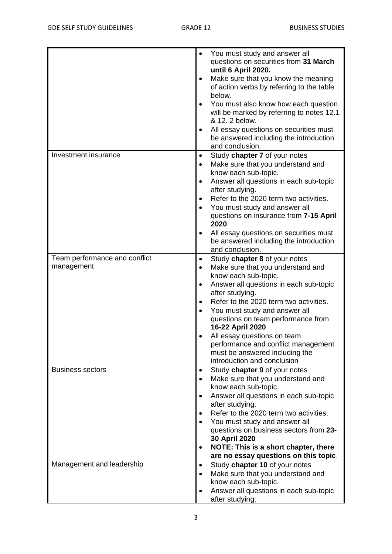|                                                      | You must study and answer all<br>questions on securities from 31 March<br>until 6 April 2020.<br>Make sure that you know the meaning<br>of action verbs by referring to the table<br>below.<br>You must also know how each question<br>will be marked by referring to notes 12.1<br>& 12, 2 below.<br>All essay questions on securities must<br>be answered including the introduction<br>and conclusion.                                                                             |
|------------------------------------------------------|---------------------------------------------------------------------------------------------------------------------------------------------------------------------------------------------------------------------------------------------------------------------------------------------------------------------------------------------------------------------------------------------------------------------------------------------------------------------------------------|
| Investment insurance                                 | Study chapter 7 of your notes<br>٠<br>Make sure that you understand and<br>know each sub-topic.<br>Answer all questions in each sub-topic<br>after studying.<br>Refer to the 2020 term two activities.<br>You must study and answer all<br>questions on insurance from 7-15 April<br>2020<br>All essay questions on securities must<br>be answered including the introduction                                                                                                         |
| Team performance and conflict<br>management          | and conclusion.<br>Study chapter 8 of your notes<br>Make sure that you understand and<br>٠<br>know each sub-topic.<br>Answer all questions in each sub-topic<br>$\bullet$<br>after studying.<br>Refer to the 2020 term two activities.<br>$\bullet$<br>You must study and answer all<br>questions on team performance from<br>16-22 April 2020<br>All essay questions on team<br>performance and conflict management<br>must be answered including the<br>introduction and conclusion |
| <b>Business sectors</b><br>Management and leadership | Study chapter 9 of your notes<br>٠<br>Make sure that you understand and<br>$\bullet$<br>know each sub-topic.<br>Answer all questions in each sub-topic<br>after studying.<br>Refer to the 2020 term two activities.<br>You must study and answer all<br>questions on business sectors from 23-<br>30 April 2020<br>NOTE: This is a short chapter, there<br>$\bullet$<br>are no essay questions on this topic.<br>Study chapter 10 of your notes<br>$\bullet$                          |
|                                                      | Make sure that you understand and<br>know each sub-topic.<br>Answer all questions in each sub-topic<br>after studying.                                                                                                                                                                                                                                                                                                                                                                |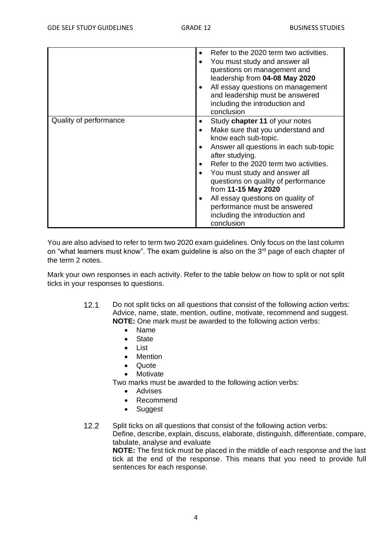|                        | Refer to the 2020 term two activities.<br>You must study and answer all<br>questions on management and<br>leadership from 04-08 May 2020<br>All essay questions on management<br>and leadership must be answered<br>including the introduction and<br>conclusion                                                                                                                                                       |
|------------------------|------------------------------------------------------------------------------------------------------------------------------------------------------------------------------------------------------------------------------------------------------------------------------------------------------------------------------------------------------------------------------------------------------------------------|
| Quality of performance | Study chapter 11 of your notes<br>Make sure that you understand and<br>know each sub-topic.<br>Answer all questions in each sub-topic<br>after studying.<br>Refer to the 2020 term two activities.<br>You must study and answer all<br>questions on quality of performance<br>from 11-15 May 2020<br>All essay questions on quality of<br>performance must be answered<br>including the introduction and<br>conclusion |

You are also advised to refer to term two 2020 exam guidelines. Only focus on the last column on "what learners must know". The exam guideline is also on the 3<sup>rd</sup> page of each chapter of the term 2 notes.

Mark your own responses in each activity. Refer to the table below on how to split or not split ticks in your responses to questions.

- 12.1 Do not split ticks on all questions that consist of the following action verbs: Advice, name, state, mention, outline, motivate, recommend and suggest. **NOTE:** One mark must be awarded to the following action verbs:
	- Name
	- State
	- List
	- Mention
	- **Quote**
	- **Motivate**

Two marks must be awarded to the following action verbs:

- **Advises**
- Recommend
- Suggest

12.2 Split ticks on all questions that consist of the following action verbs:

Define, describe, explain, discuss, elaborate, distinguish, differentiate, compare, tabulate, analyse and evaluate

**NOTE:** The first tick must be placed in the middle of each response and the last tick at the end of the response. This means that you need to provide full sentences for each response.